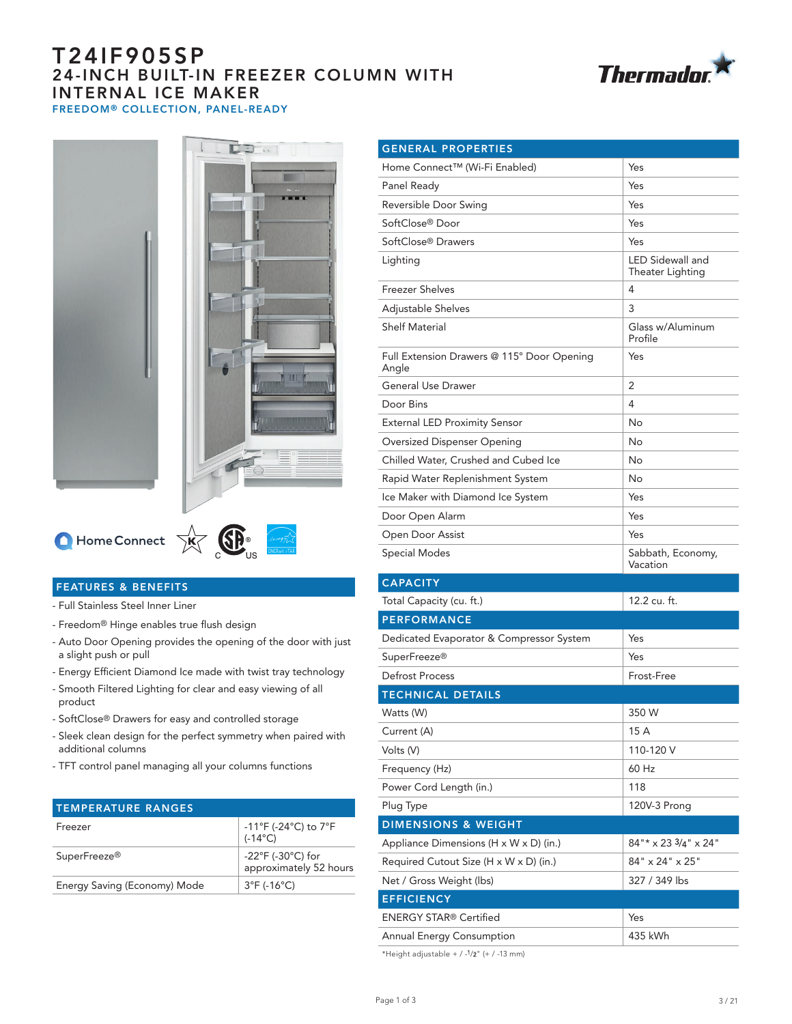# T24IF905SP 24-INCH BUILT-IN FREEZER COLUMN WITH INTERNAL ICE MAKER FREEDOM® COLLECTION, PANEL-READY









#### FEATURES & BENEFITS

- Full Stainless Steel Inner Liner
- Freedom® Hinge enables true flush design
- Auto Door Opening provides the opening of the door with just a slight push or pull
- Energy Efficient Diamond Ice made with twist tray technology
- Smooth Filtered Lighting for clear and easy viewing of all product
- SoftClose® Drawers for easy and controlled storage
- Sleek clean design for the perfect symmetry when paired with additional columns
- TFT control panel managing all your columns functions

| <b>TEMPERATURE RANGES</b>    |                                                                          |
|------------------------------|--------------------------------------------------------------------------|
| Freezer                      | $-11^{\circ}$ F (-24 $^{\circ}$ C) to 7 $^{\circ}$ F<br>$(-14^{\circ}C)$ |
| SuperFreeze <sup>®</sup>     | $-22^{\circ}$ F (-30 $^{\circ}$ C) for<br>approximately 52 hours         |
| Energy Saving (Economy) Mode | $3^{\circ}F$ (-16 $^{\circ}C$ )                                          |
|                              |                                                                          |

| <b>GENERAL PROPERTIES</b>                           |                                             |  |
|-----------------------------------------------------|---------------------------------------------|--|
| Home Connect™ (Wi-Fi Enabled)                       | Yes                                         |  |
| Panel Ready                                         | Yes                                         |  |
| Reversible Door Swing                               | Yes                                         |  |
| SoftClose® Door                                     | Yes                                         |  |
| SoftClose® Drawers                                  | Yes                                         |  |
| Lighting                                            | <b>LED Sidewall and</b><br>Theater Lighting |  |
| <b>Freezer Shelves</b>                              | 4                                           |  |
| Adjustable Shelves                                  | 3                                           |  |
| <b>Shelf Material</b>                               | Glass w/Aluminum<br>Profile                 |  |
| Full Extension Drawers @ 115° Door Opening<br>Angle | Yes                                         |  |
| <b>General Use Drawer</b>                           | 2                                           |  |
| Door Bins                                           | 4                                           |  |
| <b>External LED Proximity Sensor</b>                | No                                          |  |
| Oversized Dispenser Opening                         | No                                          |  |
| Chilled Water, Crushed and Cubed Ice                | No                                          |  |
| Rapid Water Replenishment System                    | No                                          |  |
| Ice Maker with Diamond Ice System                   | Yes                                         |  |
| Door Open Alarm                                     | Yes                                         |  |
| Open Door Assist                                    | Yes                                         |  |
| Special Modes                                       | Sabbath, Economy,<br>Vacation               |  |
| <b>CAPACITY</b>                                     |                                             |  |
| Total Capacity (cu. ft.)                            | 12.2 cu. ft.                                |  |
| <b>PERFORMANCE</b>                                  |                                             |  |
| Dedicated Evaporator & Compressor System            | Yes                                         |  |
| SuperFreeze <sup>®</sup>                            | Yes                                         |  |
| Defrost Process                                     | Frost-Free                                  |  |
| <b>TECHNICAL DETAILS</b>                            |                                             |  |
| Watts (W)                                           | 350 W                                       |  |
| Current (A)                                         | 15 A                                        |  |
| Volts (V)                                           | 110-120 V                                   |  |
| Frequency (Hz)                                      | 60 Hz                                       |  |
| Power Cord Length (in.)                             | 118                                         |  |
| Plug Type                                           | 120V-3 Prong                                |  |
| <b>DIMENSIONS &amp; WEIGHT</b>                      |                                             |  |
| Appliance Dimensions (H x W x D) (in.)              | $84"$ * x 23 $3/4"$ x 24"                   |  |
| Required Cutout Size (H x W x D) (in.)              | 84" x 24" x 25"                             |  |
| Net / Gross Weight (lbs)                            | 327 / 349 lbs                               |  |
| <b>EFFICIENCY</b>                                   |                                             |  |
| <b>ENERGY STAR® Certified</b>                       | Yes                                         |  |
| Annual Energy Consumption                           | 435 kWh                                     |  |

\*Height adjustable +  $/$  -1/2" (+  $/$  -13 mm)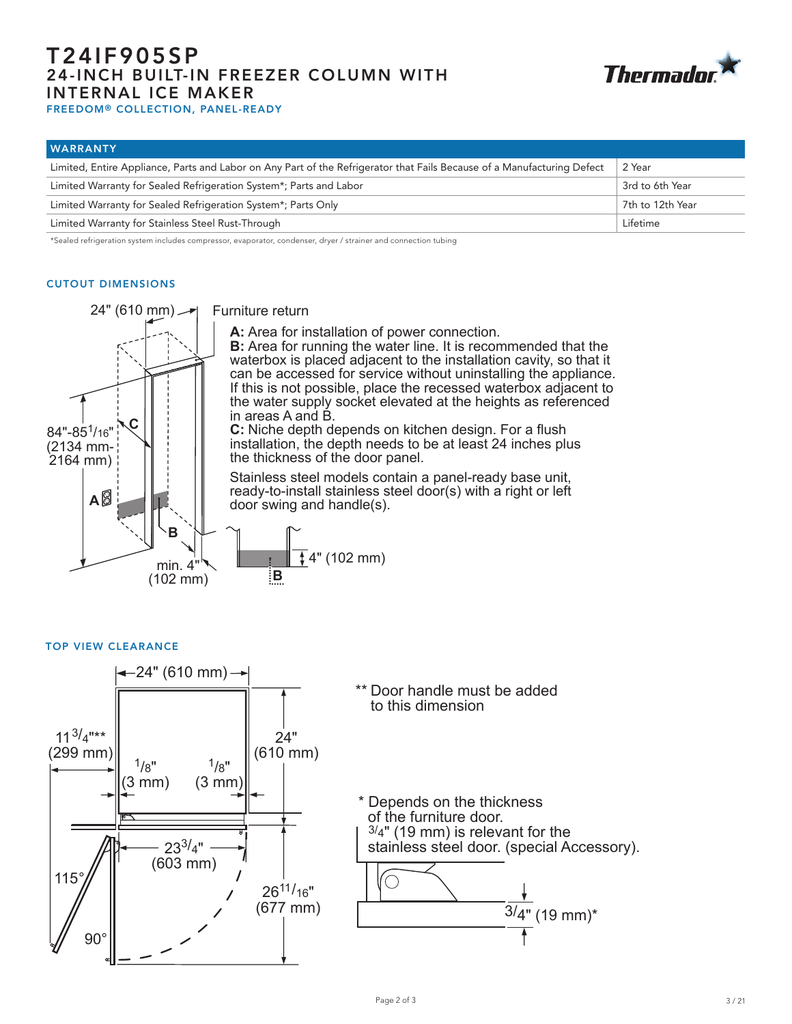# T24IF905SP 24-INCH BUILT-IN FREEZER COLUMN WITH INTERNAL ICE MAKER



FREEDOM® COLLECTION, PANEL-READY

| <b>WARRANTY</b>                                                                                                         |                  |
|-------------------------------------------------------------------------------------------------------------------------|------------------|
| Limited, Entire Appliance, Parts and Labor on Any Part of the Refrigerator that Fails Because of a Manufacturing Defect | 2 Year           |
| Limited Warranty for Sealed Refrigeration System*; Parts and Labor                                                      | 3rd to 6th Year  |
| Limited Warranty for Sealed Refrigeration System*; Parts Only                                                           | 7th to 12th Year |
| Limited Warranty for Stainless Steel Rust-Through                                                                       | Lifetime         |

\*Sealed refrigeration system includes compressor, evaporator, condenser, dryer / strainer and connection tubing

#### CUTOUT DIMENSIONS



Furniture return

**A:** Area for installation of power connection.

**B:** Area for running the water line. It is recommended that the waterbox is placed adjacent to the installation cavity, so that it can be accessed for service without uninstalling the appliance. If this is not possible, place the recessed waterbox adjacent to the water supply socket elevated at the heights as referenced in areas A and B.

**C:** Niche depth depends on kitchen design. For a flush installation, the depth needs to be at least 24 inches plus the thickness of the door panel.

Stainless steel models contain a panel-ready base unit, ready-to-install stainless steel door(s) with a right or left door swing and handle(s).



TOP VIEW CLEARANCE